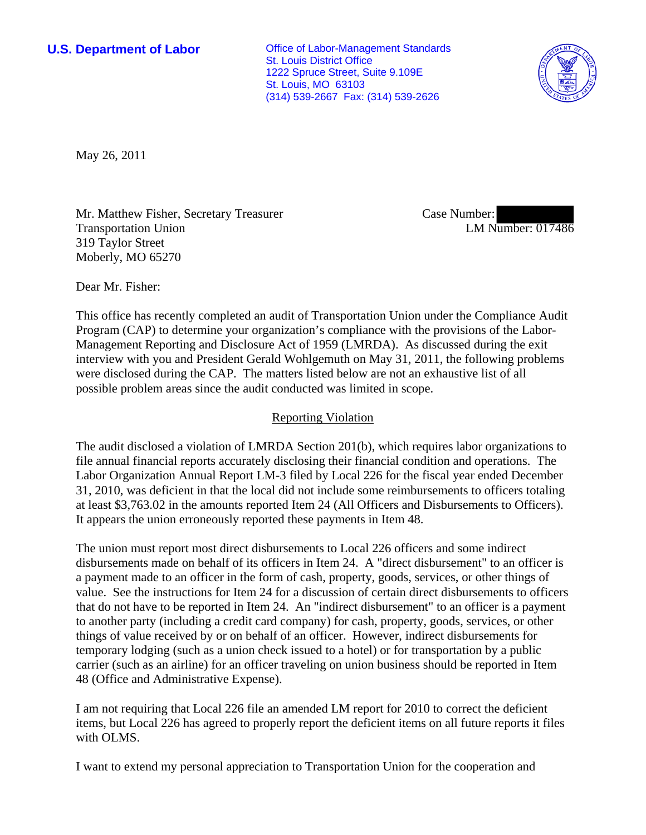**U.S. Department of Labor Conservative Conservative Conservative Conservative Conservative Conservative Conservative Conservative Conservative Conservative Conservative Conservative Conservative Conservative Conservative** St. Louis District Office 1222 Spruce Street, Suite 9.109E St. Louis, MO 63103 (314) 539-2667 Fax: (314) 539-2626



May 26, 2011

Mr. Matthew Fisher, Secretary Treasurer Transportation Union 319 Taylor Street Moberly, MO 65270

Case Number: LM Number: 017486

Dear Mr. Fisher:

This office has recently completed an audit of Transportation Union under the Compliance Audit Program (CAP) to determine your organization's compliance with the provisions of the Labor-Management Reporting and Disclosure Act of 1959 (LMRDA). As discussed during the exit interview with you and President Gerald Wohlgemuth on May 31, 2011, the following problems were disclosed during the CAP. The matters listed below are not an exhaustive list of all possible problem areas since the audit conducted was limited in scope.

## Reporting Violation

The audit disclosed a violation of LMRDA Section 201(b), which requires labor organizations to file annual financial reports accurately disclosing their financial condition and operations. The Labor Organization Annual Report LM-3 filed by Local 226 for the fiscal year ended December 31, 2010, was deficient in that the local did not include some reimbursements to officers totaling at least \$3,763.02 in the amounts reported Item 24 (All Officers and Disbursements to Officers). It appears the union erroneously reported these payments in Item 48.

The union must report most direct disbursements to Local 226 officers and some indirect disbursements made on behalf of its officers in Item 24. A "direct disbursement" to an officer is a payment made to an officer in the form of cash, property, goods, services, or other things of value. See the instructions for Item 24 for a discussion of certain direct disbursements to officers that do not have to be reported in Item 24. An "indirect disbursement" to an officer is a payment to another party (including a credit card company) for cash, property, goods, services, or other things of value received by or on behalf of an officer. However, indirect disbursements for temporary lodging (such as a union check issued to a hotel) or for transportation by a public carrier (such as an airline) for an officer traveling on union business should be reported in Item 48 (Office and Administrative Expense).

I am not requiring that Local 226 file an amended LM report for 2010 to correct the deficient items, but Local 226 has agreed to properly report the deficient items on all future reports it files with OLMS.

I want to extend my personal appreciation to Transportation Union for the cooperation and